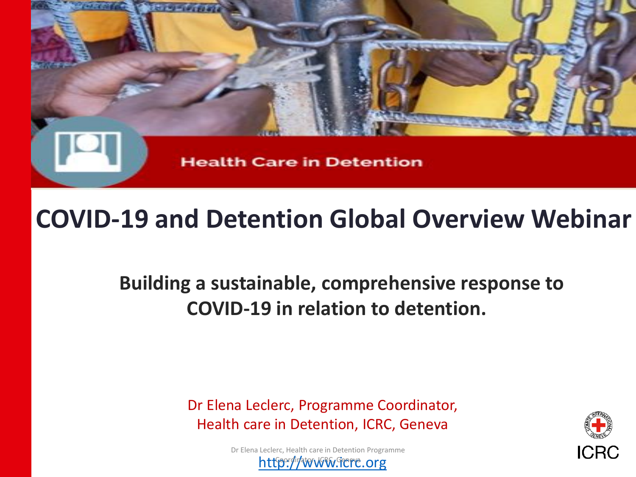

# **COVID-19 and Detention Global Overview Webinar**

**Building a sustainable, comprehensive response to COVID-19 in relation to detention.**

> Dr Elena Leclerc, Programme Coordinator, Health care in Detention, ICRC, Geneva



[http://www.icrc.org](http://www.icrc.org/) Dr Elena Leclerc, Health care in Detention Programme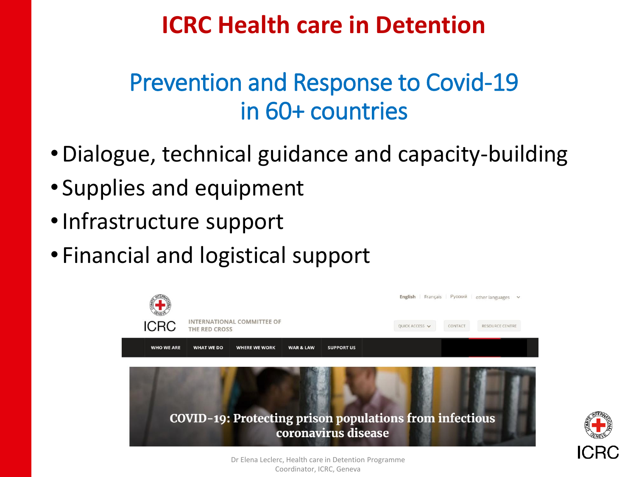#### **ICRC Health care in Detention**

### Prevention and Response to Covid-19 in 60+ countries

- •Dialogue, technical guidance and capacity-building
- Supplies and equipment
- •Infrastructure support
- Financial and logistical support



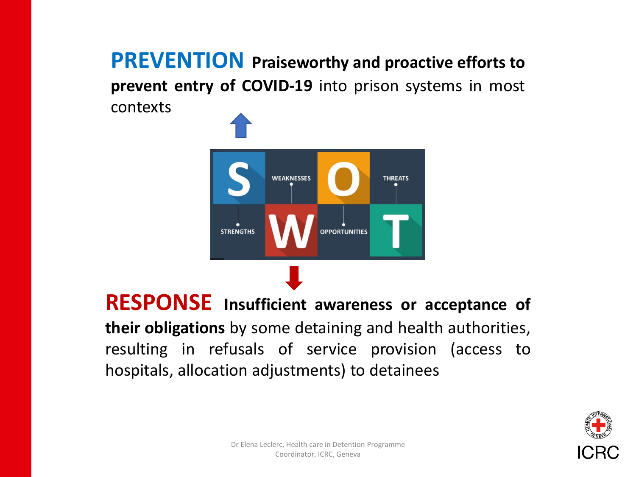**PREVENTION Praiseworthy and proactive efforts to prevent entry of COVID-19** into prison systems in most contexts



**RESPONSE Insufficient awareness or acceptance of their obligations** by some detaining and health authorities, resulting in refusals of service provision (access to hospitals, allocation adjustments) to detainees

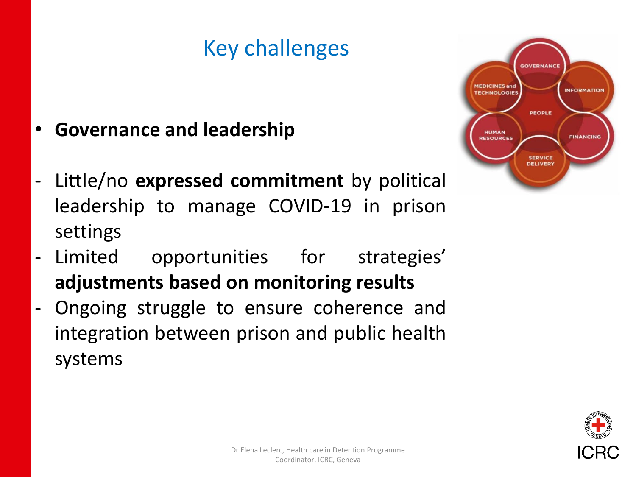### Key challenges

- **Governance and leadership**
- Little/no **expressed commitment** by political leadership to manage COVID-19 in prison settings
- Limited opportunities for strategies' **adjustments based on monitoring results**
- Ongoing struggle to ensure coherence and integration between prison and public health systems



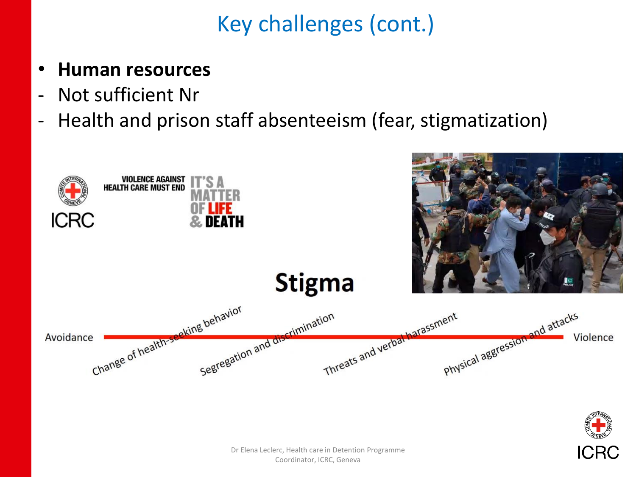## Key challenges (cont.)

#### • **Human resources**

- Not sufficient Nr
- Health and prison staff absenteeism (fear, stigmatization)

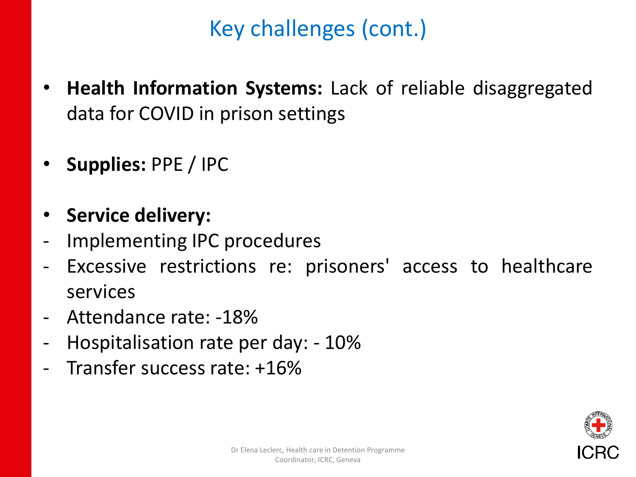#### Key challenges (cont.)

- **Health Information Systems:** Lack of reliable disaggregated data for COVID in prison settings
- **Supplies:** PPE / IPC
- **Service delivery:**
- Implementing IPC procedures
- Excessive restrictions re: prisoners' access to healthcare services
- Attendance rate: -18%
- Hospitalisation rate per day: 10%
- Transfer success rate: +16%

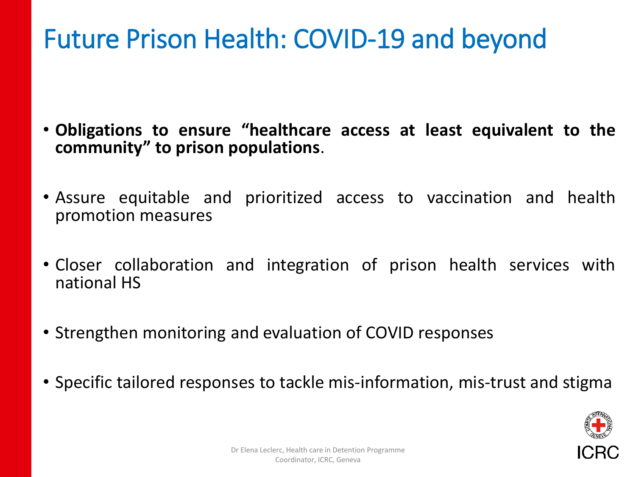# Future Prison Health: COVID-19 and beyond

- **Obligations to ensure "healthcare access at least equivalent to the community" to prison populations**.
- Assure equitable and prioritized access to vaccination and health promotion measures
- Closer collaboration and integration of prison health services with national HS
- Strengthen monitoring and evaluation of COVID responses
- Specific tailored responses to tackle mis-information, mis-trust and stigma